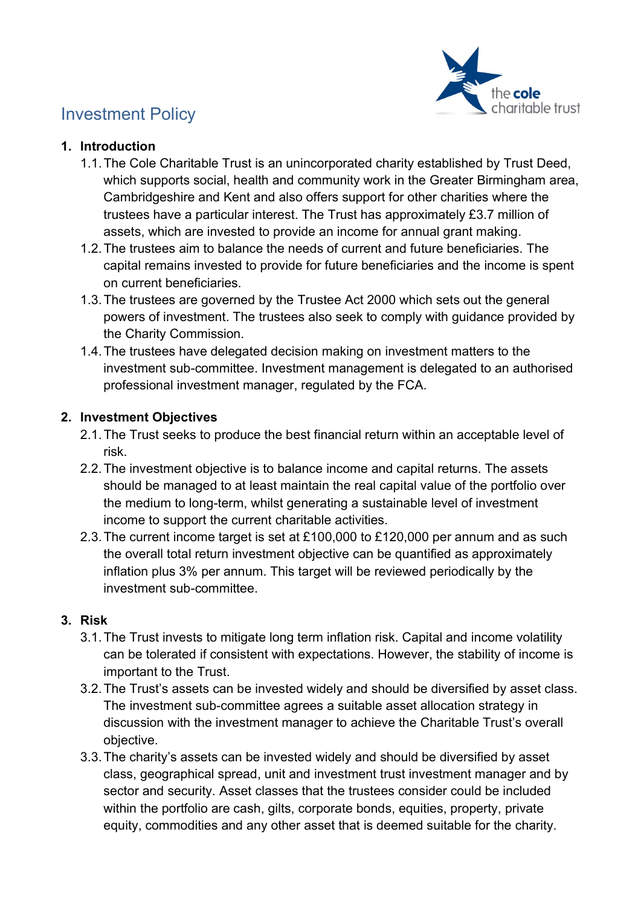

# Investment Policy

#### 1. Introduction

- 1.1. The Cole Charitable Trust is an unincorporated charity established by Trust Deed, which supports social, health and community work in the Greater Birmingham area, Cambridgeshire and Kent and also offers support for other charities where the trustees have a particular interest. The Trust has approximately £3.7 million of assets, which are invested to provide an income for annual grant making.
- 1.2. The trustees aim to balance the needs of current and future beneficiaries. The capital remains invested to provide for future beneficiaries and the income is spent on current beneficiaries.
- 1.3. The trustees are governed by the Trustee Act 2000 which sets out the general powers of investment. The trustees also seek to comply with guidance provided by the Charity Commission.
- 1.4. The trustees have delegated decision making on investment matters to the investment sub-committee. Investment management is delegated to an authorised professional investment manager, regulated by the FCA.

## 2. Investment Objectives

- 2.1. The Trust seeks to produce the best financial return within an acceptable level of risk.
- 2.2. The investment objective is to balance income and capital returns. The assets should be managed to at least maintain the real capital value of the portfolio over the medium to long-term, whilst generating a sustainable level of investment income to support the current charitable activities.
- 2.3. The current income target is set at £100,000 to £120,000 per annum and as such the overall total return investment objective can be quantified as approximately inflation plus 3% per annum. This target will be reviewed periodically by the investment sub-committee.

## 3. Risk

- 3.1. The Trust invests to mitigate long term inflation risk. Capital and income volatility can be tolerated if consistent with expectations. However, the stability of income is important to the Trust.
- 3.2. The Trust's assets can be invested widely and should be diversified by asset class. The investment sub-committee agrees a suitable asset allocation strategy in discussion with the investment manager to achieve the Charitable Trust's overall objective.
- 3.3. The charity's assets can be invested widely and should be diversified by asset class, geographical spread, unit and investment trust investment manager and by sector and security. Asset classes that the trustees consider could be included within the portfolio are cash, gilts, corporate bonds, equities, property, private equity, commodities and any other asset that is deemed suitable for the charity.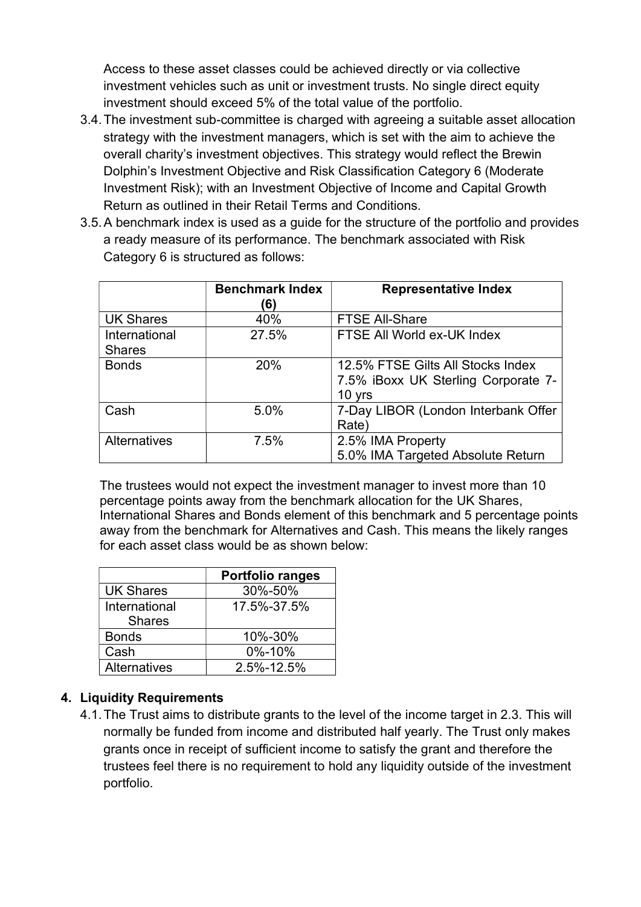Access to these asset classes could be achieved directly or via collective investment vehicles such as unit or investment trusts. No single direct equity investment should exceed 5% of the total value of the portfolio.

- 3.4. The investment sub-committee is charged with agreeing a suitable asset allocation strategy with the investment managers, which is set with the aim to achieve the overall charity's investment objectives. This strategy would reflect the Brewin Dolphin's Investment Objective and Risk Classification Category 6 (Moderate Investment Risk); with an Investment Objective of Income and Capital Growth Return as outlined in their Retail Terms and Conditions.
- 3.5. A benchmark index is used as a guide for the structure of the portfolio and provides a ready measure of its performance. The benchmark associated with Risk Category 6 is structured as follows:

|                                | <b>Benchmark Index</b><br>(6) | <b>Representative Index</b>                                                        |
|--------------------------------|-------------------------------|------------------------------------------------------------------------------------|
| <b>UK Shares</b>               | 40%                           | <b>FTSE All-Share</b>                                                              |
| International<br><b>Shares</b> | 27.5%                         | FTSE All World ex-UK Index                                                         |
| <b>Bonds</b>                   | 20%                           | 12.5% FTSE Gilts All Stocks Index<br>7.5% iBoxx UK Sterling Corporate 7-<br>10 yrs |
| Cash                           | 5.0%                          | 7-Day LIBOR (London Interbank Offer<br>Rate)                                       |
| <b>Alternatives</b>            | 7.5%                          | 2.5% IMA Property<br>5.0% IMA Targeted Absolute Return                             |

The trustees would not expect the investment manager to invest more than 10 percentage points away from the benchmark allocation for the UK Shares, International Shares and Bonds element of this benchmark and 5 percentage points away from the benchmark for Alternatives and Cash. This means the likely ranges for each asset class would be as shown below:

|                                | <b>Portfolio ranges</b> |
|--------------------------------|-------------------------|
| <b>UK Shares</b>               | 30%-50%                 |
| International<br><b>Shares</b> | 17.5%-37.5%             |
| <b>Bonds</b>                   | 10%-30%                 |
| Cash                           | 0%-10%                  |
| Alternatives                   | 2.5%-12.5%              |

## 4. Liquidity Requirements

4.1. The Trust aims to distribute grants to the level of the income target in 2.3. This will normally be funded from income and distributed half yearly. The Trust only makes grants once in receipt of sufficient income to satisfy the grant and therefore the trustees feel there is no requirement to hold any liquidity outside of the investment portfolio.